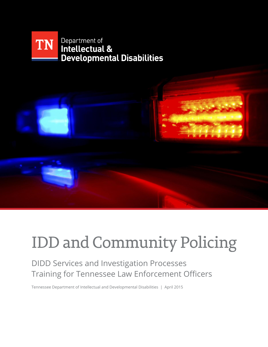



# **IDD and Community Policing**

# DIDD Services and Investigation Processes Training for Tennessee Law Enforcement Officers

Tennessee Department of Intellectual and Developmental Disabilities | April 2015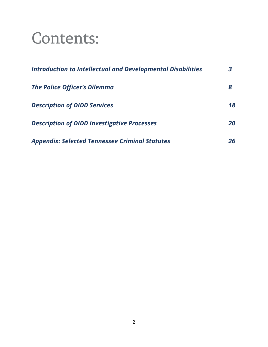# **Contents:**

| <b>Introduction to Intellectual and Developmental Disabilities</b>                        |          |
|-------------------------------------------------------------------------------------------|----------|
| <b>The Police Officer's Dilemma</b>                                                       | 8        |
| <b>Description of DIDD Services</b><br><b>Description of DIDD Investigative Processes</b> | 18<br>20 |
|                                                                                           |          |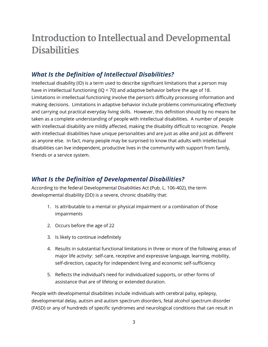# **Introduction to Intellectual and Developmental Disabilities**

# *What Is the Definition of Intellectual Disabilities?*

Intellectual disability (ID) is a term used to describe significant limitations that a person may have in intellectual functioning (IQ < 70) and adaptive behavior before the age of 18. Limitations in intellectual functioning involve the person's difficulty processing information and making decisions. Limitations in adaptive behavior include problems communicating effectively and carrying out practical everyday living skills. However, this definition should by no means be taken as a complete understanding of people with intellectual disabilities. A number of people with intellectual disability are mildly affected, making the disability difficult to recognize. People with intellectual disabilities have unique personalities and are just as alike and just as different as anyone else. In fact, many people may be surprised to know that adults with intellectual disabilities can live independent, productive lives in the community with support from family, friends or a service system.

# *What Is the Definition of Developmental Disabilities?*

According to the federal Developmental Disabilities Act (Pub. L. 106-402), the term developmental disability (DD) is a severe, chronic disability that:

- 1. Is attributable to a mental or physical impairment or a combination of those impairments
- 2. Occurs before the age of 22
- 3. Is likely to continue indefinitely
- 4. Results in substantial functional limitations in three or more of the following areas of major life activity: self-care, receptive and expressive language, learning, mobility, self-direction, capacity for independent living and economic self-sufficiency
- 5. Reflects the individual's need for individualized supports, or other forms of assistance that are of lifelong or extended duration.

People with developmental disabilities include individuals with cerebral palsy, epilepsy, developmental delay, autism and autism spectrum disorders, fetal alcohol spectrum disorder (FASD) or any of hundreds of specific syndromes and neurological conditions that can result in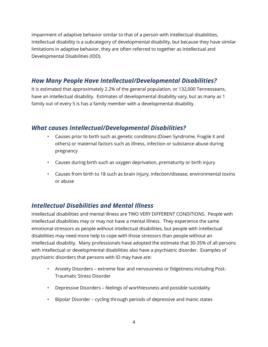impairment of adaptive behavior similar to that of a person with intellectual disabilities. Intellectual disability is a subcategory of developmental disability, but because they have similar limitations in adaptive behavior, they are often referred to together as Intellectual and Developmental Disabilities (IDD).

### *How Many People Have Intellectual/Developmental Disabilities?*

It is estimated that approximately 2.2% of the general population, or 132,000 Tennesseans, have an intellectual disability. Estimates of developmental disability vary, but as many as 1 family out of every 5 is has a family member with a developmental disability.

# *What causes Intellectual/Developmental Disabilities?*

- Causes prior to birth such as genetic conditions (Down Syndrome, Fragile X and others) or maternal factors such as illness, infection or substance abuse during pregnancy
- Causes during birth such as oxygen deprivation, prematurity or birth injury
- Causes from birth to 18 such as brain injury, infection/disease, environmental toxins or abuse

# *Intellectual Disabilities and Mental Illness*

Intellectual disabilities and mental illness are TWO VERY DIFFERENT CONDITIONS. People with intellectual disabilities may or may not have a mental illness. They experience the same emotional stressors as people without intellectual disabilities, but people with intellectual disabilities may need more help to cope with those stressors than people without an intellectual disability. Many professionals have adopted the estimate that 30-35% of all persons with intellectual or developmental disabilities also have a psychiatric disorder. Examples of psychiatric disorders that persons with ID may have are:

- Anxiety Disorders extreme fear and nervousness or fidgetiness including Post-Traumatic Stress Disorder
- Depressive Disorders feelings of worthlessness and possible suicidality
- Bipolar Disorder cycling through periods of depressive and manic states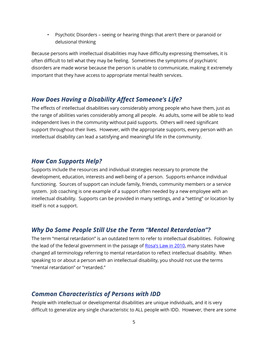• Psychotic Disorders – seeing or hearing things that aren't there or paranoid or delusional thinking

Because persons with intellectual disabilities may have difficulty expressing themselves, it is often difficult to tell what they may be feeling. Sometimes the symptoms of psychiatric disorders are made worse because the person is unable to communicate, making it extremely important that they have access to appropriate mental health services.

#### *How Does Having a Disability Affect Someone's Life?*

The effects of intellectual disabilities vary considerably among people who have them, just as the range of abilities varies considerably among all people. As adults, some will be able to lead independent lives in the community without paid supports. Others will need significant support throughout their lives. However, with the appropriate supports, every person with an intellectual disability can lead a satisfying and meaningful life in the community.

#### *How Can Supports Help?*

Supports include the resources and individual strategies necessary to promote the development, education, interests and well-being of a person. Supports enhance individual functioning. Sources of support can include family, friends, community members or a service system. Job coaching is one example of a support often needed by a new employee with an intellectual disability. Supports can be provided in many settings, and a "setting" or location by itself is not a support.

#### *Why Do Some People Still Use the Term "Mental Retardation"?*

The term "mental retardation" is an outdated term to refer to intellectual disabilities. Following the lead of the federal government in the passage of [Rosa's Law in 2010](http://www.specialolympics.org/Regions/north-america/News-and-Stories/Stories/Rosa-s-Law.aspx), many states have changed all terminology referring to mental retardation to reflect intellectual disability. When speaking to or about a person with an intellectual disability, you should not use the terms "mental retardation" or "retarded."

### *Common Characteristics of Persons with IDD*

People with intellectual or developmental disabilities are unique individuals, and it is very difficult to generalize any single characteristic to ALL people with IDD. However, there are some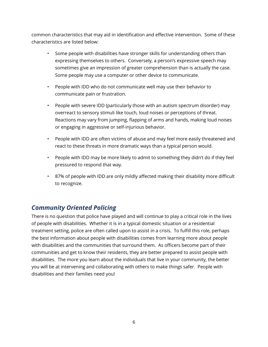common characteristics that may aid in identification and effective intervention. Some of these characteristics are listed below:

- Some people with disabilities have stronger skills for understanding others than expressing themselves to others. Conversely, a person's expressive speech may sometimes give an impression of greater comprehension than is actually the case. Some people may use a computer or other device to communicate.
- People with IDD who do not communicate well may use their behavior to communicate pain or frustration.
- People with severe IDD (particularly those with an autism spectrum disorder) may overreact to sensory stimuli like touch, loud noises or perceptions of threat. Reactions may vary from jumping, flapping of arms and hands, making loud noises or engaging in aggressive or self-injurious behavior.
- People with IDD are often victims of abuse and may feel more easily threatened and react to these threats in more dramatic ways than a typical person would.
- People with IDD may be more likely to admit to something they didn't do if they feel pressured to respond that way.
- 87% of people with IDD are only mildly affected making their disability more difficult to recognize.

# *Community Oriented Policing*

There is no question that police have played and will continue to play a critical role in the lives of people with disabilities. Whether it is in a typical domestic situation or a residential treatment setting, police are often called upon to assist in a crisis. To fulfill this role, perhaps the best information about people with disabilities comes from learning more about people with disabilities and the communities that surround them. As officers become part of their communities and get to know their residents, they are better prepared to assist people with disabilities. The more you learn about the individuals that live in your community, the better you will be at intervening and collaborating with others to make things safer. People with disabilities and their families need you!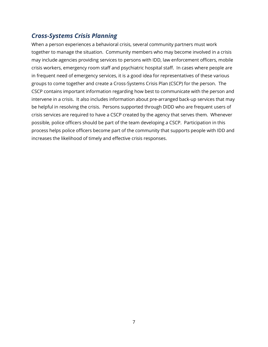### *Cross-Systems Crisis Planning*

When a person experiences a behavioral crisis, several community partners must work together to manage the situation. Community members who may become involved in a crisis may include agencies providing services to persons with IDD, law enforcement officers, mobile crisis workers, emergency room staff and psychiatric hospital staff. In cases where people are in frequent need of emergency services, it is a good idea for representatives of these various groups to come together and create a Cross-Systems Crisis Plan (CSCP) for the person. The CSCP contains important information regarding how best to communicate with the person and intervene in a crisis. It also includes information about pre-arranged back-up services that may be helpful in resolving the crisis. Persons supported through DIDD who are frequent users of crisis services are required to have a CSCP created by the agency that serves them. Whenever possible, police officers should be part of the team developing a CSCP. Participation in this process helps police officers become part of the community that supports people with IDD and increases the likelihood of timely and effective crisis responses.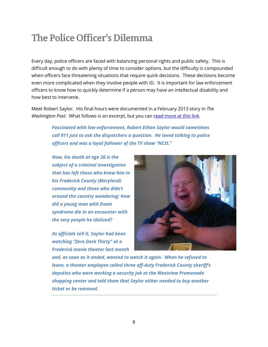# The Police Officer's Dilemma

Every day, police officers are faced with balancing personal rights and public safety. This is difficult enough to do with plenty of time to consider options, but the difficulty is compounded when officers face threatening situations that require quick decisions. These decisions become even more complicated when they involve people with ID. It is important for law enforcement officers to know how to quickly determine if a person may have an intellectual disability and how best to intervene.

Meet Robert Saylor. His final hours were documented in a February 2013 story in *The*  Washington Post. What follows is an excerpt, but you can read [more at this link.](http://www.washingtonpost.com/local/md-man-with-down-syndrome-who-died-in-police-custody-loved-law-enforcement/2013/02/19/10e09fe0-7ad5-11e2-82e8-61a46c2cde3d_story.html)

> *Fascinated with law enforcement, Robert Ethan Saylor would sometimes call 911 just to ask the dispatchers a question. He loved talking to police officers and was a loyal follower of the TV show "NCIS."*

*Now, his death at age 26 is the subject of a criminal investigation that has left those who knew him in his Frederick County (Maryland) community and those who didn't around the country wondering: How did a young man with Down syndrome die in an encounter with the very people he idolized?*

*As officials tell it, Saylor had been watching "Zero Dark Thirty" at a Frederick movie theater last month* 



*and, as soon as it ended, wanted to watch it again. When he refused to leave, a theater employee called three off-duty Frederick County sheriff's deputies who were working a security job at the Westview Promenade shopping center and told them that Saylor either needed to buy another ticket or be removed.*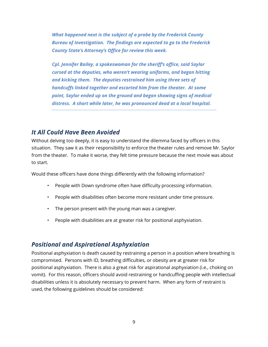*What happened next is the subject of a probe by the Frederick County Bureau of Investigation. The findings are expected to go to the Frederick County State's Attorney's Office for review this week.*

*Cpl. Jennifer Bailey, a spokeswoman for the sheriff's office, said Saylor cursed at the deputies, who weren't wearing uniforms, and began hitting and kicking them. The deputies restrained him using three sets of handcuffs linked together and escorted him from the theater. At some point, Saylor ended up on the ground and began showing signs of medical distress. A short while later, he was pronounced dead at a local hospital.*

#### *It All Could Have Been Avoided*

Without delving too deeply, it is easy to understand the dilemma faced by officers in this situation. They saw it as their responsibility to enforce the theater rules and remove Mr. Saylor from the theater. To make it worse, they felt time pressure because the next movie was about to start.

Would these officers have done things differently with the following information?

- People with Down syndrome often have difficulty processing information.
- People with disabilities often become more resistant under time pressure.
- The person present with the young man was a caregiver.
- People with disabilities are at greater risk for positional asphyxiation.

#### *Positional and Aspirational Asphyxiation*

Positional asphyxiation is death caused by restraining a person in a position where breathing is compromised. Persons with ID, breathing difficulties, or obesity are at greater risk for positional asphyxiation. There is also a great risk for aspirational asphyxiation (i.e., choking on vomit). For this reason, officers should avoid restraining or handcuffing people with intellectual disabilities unless it is absolutely necessary to prevent harm. When any form of restraint is used, the following guidelines should be considered: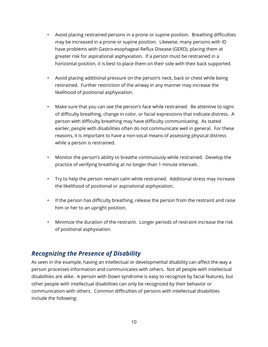- Avoid placing restrained persons in a prone or supine position. Breathing difficulties may be increased in a prone or supine position. Likewise, many persons with ID have problems with Gastro-esophageal Reflux Disease (GERD), placing them at greater risk for aspirational asphyxiation. If a person must be restrained in a horizontal position, it is best to place them on their side with their back supported.
- Avoid placing additional pressure on the person's neck, back or chest while being restrained. Further restriction of the airway in any manner may increase the likelihood of positional asphyxiation.
- Make sure that you can see the person's face while restrained. Be attentive to signs of difficulty breathing, change in color, or facial expressions that indicate distress. A person with difficulty breathing may have difficulty communicating. As stated earlier, people with disabilities often do not communicate well in general. For these reasons, it is important to have a non-vocal means of assessing physical distress while a person is restrained.
- Monitor the person's ability to breathe continuously while restrained. Develop the practice of verifying breathing at no longer than 1 minute intervals.
- Try to help the person remain calm while restrained. Additional stress may increase the likelihood of positional or aspirational asphyxiation.
- If the person has difficulty breathing, release the person from the restraint and raise him or her to an upright position.
- Minimize the duration of the restraint. Longer periods of restraint increase the risk of positional asphyxiation.

# *Recognizing the Presence of Disability*

As seen in the example, having an intellectual or developmental disability can affect the way a person processes information and communicates with others. Not all people with intellectual disabilities are alike. A person with Down syndrome is easy to recognize by facial features, but other people with intellectual disabilities can only be recognized by their behavior or communication with others. Common difficulties of persons with intellectual disabilities include the following: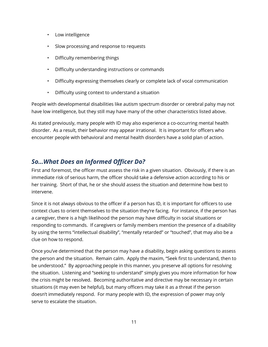- Low intelligence
- Slow processing and response to requests
- Difficulty remembering things
- Difficulty understanding instructions or commands
- Difficulty expressing themselves clearly or complete lack of vocal communication
- Difficulty using context to understand a situation

People with developmental disabilities like autism spectrum disorder or cerebral palsy may not have low intelligence, but they still may have many of the other characteristics listed above.

As stated previously, many people with ID may also experience a co-occurring mental health disorder. As a result, their behavior may appear irrational. It is important for officers who encounter people with behavioral and mental health disorders have a solid plan of action.

## *So…What Does an Informed Officer Do?*

First and foremost, the officer must assess the risk in a given situation. Obviously, if there is an immediate risk of serious harm, the officer should take a defensive action according to his or her training. Short of that, he or she should assess the situation and determine how best to intervene.

Since it is not always obvious to the officer if a person has ID, it is important for officers to use context clues to orient themselves to the situation they're facing. For instance, if the person has a caregiver, there is a high likelihood the person may have difficulty in social situations or responding to commands. If caregivers or family members mention the presence of a disability by using the terms "intellectual disability", "mentally retarded" or "touched", that may also be a clue on how to respond.

Once you've determined that the person may have a disability, begin asking questions to assess the person and the situation. Remain calm. Apply the maxim, "Seek first to understand, then to be understood." By approaching people in this manner, you preserve all options for resolving the situation. Listening and "seeking to understand" simply gives you more information for how the crisis might be resolved. Becoming authoritative and directive may be necessary in certain situations (it may even be helpful), but many officers may take it as a threat if the person doesn't immediately respond. For many people with ID, the expression of power may only serve to escalate the situation.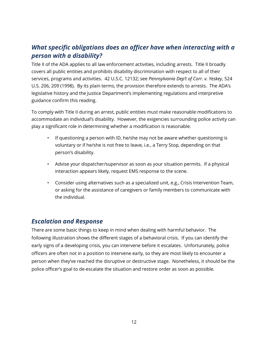# *What specific obligations does an officer have when interacting with a person with a disability?*

Title II of the ADA applies to all law enforcement activities, including arrests. Title II broadly covers all public entities and prohibits disability discrimination with respect to all of their services, programs and activities. 42 U.S.C. 12132; see *Pennsylvania Dep't of Corr. v. Yeskey*, 524 U.S. 206, 209 (1998). By its plain terms, the provision therefore extends to arrests. The ADA's legislative history and the Justice Department's implementing regulations and interpretive guidance confirm this reading.

To comply with Title II during an arrest, public entities must make reasonable modifications to accommodate an individual's disability. However, the exigencies surrounding police activity can play a significant role in determining whether a modification is reasonable.

- If questioning a person with ID, he/she may not be aware whether questioning is voluntary or if he/she is not free to leave, i.e., a Terry Stop, depending on that person's disability.
- Advise your dispatcher/supervisor as soon as your situation permits. If a physical interaction appears likely, request EMS response to the scene.
- Consider using alternatives such as a specialized unit, e.g., Crisis Intervention Team, or asking for the assistance of caregivers or family members to communicate with the individual.

### *Escalation and Response*

There are some basic things to keep in mind when dealing with harmful behavior. The following illustration shows the different stages of a behavioral crisis. If you can identify the early signs of a developing crisis, you can intervene before it escalates. Unfortunately, police officers are often not in a position to intervene early, so they are most likely to encounter a person when they've reached the disruptive or destructive stage. Nonetheless, it should be the police officer's goal to de-escalate the situation and restore order as soon as possible.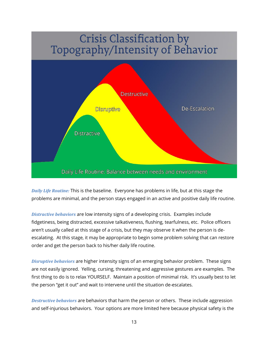# **Crisis Classification by** Topography/Intensity of Behavior



*Daily Life Routine:* This is the baseline. Everyone has problems in life, but at this stage the problems are minimal, and the person stays engaged in an active and positive daily life routine.

*Distractive behaviors* are low intensity signs of a developing crisis. Examples include fidgetiness, being distracted, excessive talkativeness, flushing, tearfulness, etc. Police officers aren't usually called at this stage of a crisis, but they may observe it when the person is deescalating. At this stage, it may be appropriate to begin some problem solving that can restore order and get the person back to his/her daily life routine.

*Disruptive behaviors* are higher intensity signs of an emerging behavior problem. These signs are not easily ignored. Yelling, cursing, threatening and aggressive gestures are examples. The first thing to do is to relax YOURSELF. Maintain a position of minimal risk. It's usually best to let the person "get it out" and wait to intervene until the situation de-escalates.

*Destructive behaviors* are behaviors that harm the person or others. These include aggression and self-injurious behaviors. Your options are more limited here because physical safety is the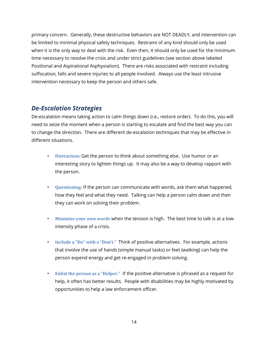primary concern. Generally, these destructive behaviors are NOT DEADLY, and intervention can be limited to minimal physical safety techniques. Restraint of any kind should only be used when it is the only way to deal with the risk. Even then, it should only be used for the minimum time necessary to resolve the crisis and under strict guidelines (see section above labeled Positional and Aspirational Asphyxiation). There are risks associated with restraint including suffocation, falls and severe injuries to all people involved. Always use the least intrusive intervention necessary to keep the person and others safe.

#### *De-Escalation Strategies*

De-escalation means taking action to calm things down (i.e., restore order). To do this, you will need to seize the moment when a person is starting to escalate and find the best way you can to change the direction. There are different de-escalation techniques that may be effective in different situations.

- **Distraction:** Get the person to think about something else. Use humor or an interesting story to lighten things up. It may also be a way to develop rapport with the person.
- **Questioning:** If the person can communicate with words, ask them what happened, how they feel and what they need. Talking can help a person calm down and then they can work on solving their problem.
- **Minimize your own words** when the tension is high. The best time to talk is at a lowintensity phase of a crisis.
- **Include a "Do" with a "Don't."** Think of positive alternatives. For example, actions that involve the use of hands (simple manual tasks) or feet (walking) can help the person expend energy and get re-engaged in problem solving.
- **Enlist the person as a "Helper."** If the positive alternative is phrased as a request for help, it often has better results. People with disabilities may be highly motivated by opportunities to help a law enforcement officer.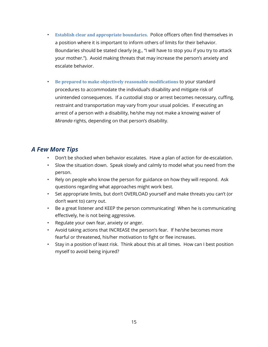- **Establish clear and appropriate boundaries.** Police officers often find themselves in a position where it is important to inform others of limits for their behavior. Boundaries should be stated clearly (e.g., "I will have to stop you if you try to attack your mother."). Avoid making threats that may increase the person's anxiety and escalate behavior.
- **Be prepared to make objectively reasonable modifications** to your standard procedures to accommodate the individual's disability and mitigate risk of unintended consequences. If a custodial stop or arrest becomes necessary, cuffing, restraint and transportation may vary from your usual policies. If executing an arrest of a person with a disability, he/she may not make a knowing waiver of *Miranda* rights, depending on that person's disability.

#### *A Few More Tips*

- Don't be shocked when behavior escalates. Have a plan of action for de-escalation.
- Slow the situation down. Speak slowly and calmly to model what you need from the person.
- Rely on people who know the person for guidance on how they will respond. Ask questions regarding what approaches might work best.
- Set appropriate limits, but don't OVERLOAD yourself and make threats you can't (or don't want to) carry out.
- Be a great listener and KEEP the person communicating! When he is communicating effectively, he is not being aggressive.
- Regulate your own fear, anxiety or anger.
- Avoid taking actions that INCREASE the person's fear. If he/she becomes more fearful or threatened, his/her motivation to fight or flee increases.
- Stay in a position of least risk. Think about this at all times. How can I best position myself to avoid being injured?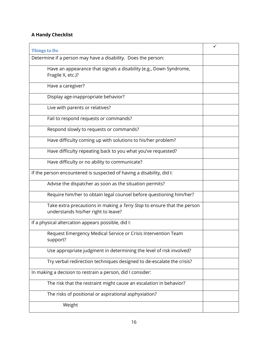#### **A Handy Checklist**

| <b>Things to Do</b>                                                                                            | ✓ |
|----------------------------------------------------------------------------------------------------------------|---|
| Determine if a person may have a disability. Does the person:                                                  |   |
| Have an appearance that signals a disability (e.g., Down Syndrome,<br>Fragile X, etc.)?                        |   |
| Have a caregiver?                                                                                              |   |
| Display age-inappropriate behavior?                                                                            |   |
| Live with parents or relatives?                                                                                |   |
| Fail to respond requests or commands?                                                                          |   |
| Respond slowly to requests or commands?                                                                        |   |
| Have difficulty coming up with solutions to his/her problem?                                                   |   |
| Have difficulty repeating back to you what you've requested?                                                   |   |
| Have difficulty or no ability to communicate?                                                                  |   |
| If the person encountered is suspected of having a disability, did I:                                          |   |
| Advise the dispatcher as soon as the situation permits?                                                        |   |
| Require him/her to obtain legal counsel before questioning him/her?                                            |   |
| Take extra precautions in making a Terry Stop to ensure that the person<br>understands his/her right to leave? |   |
| If a physical altercation appears possible, did I:                                                             |   |
| Request Emergency Medical Service or Crisis Intervention Team<br>support?                                      |   |
| Use appropriate judgment in determining the level of risk involved?                                            |   |
| Try verbal redirection techniques designed to de-escalate the crisis?                                          |   |
| In making a decision to restrain a person, did I consider:                                                     |   |
| The risk that the restraint might cause an escalation in behavior?                                             |   |
| The risks of positional or aspirational asphyxiation?                                                          |   |
| Weight                                                                                                         |   |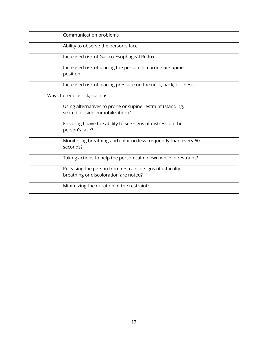| Communication problems                                                                              |  |
|-----------------------------------------------------------------------------------------------------|--|
| Ability to observe the person's face                                                                |  |
| Increased risk of Gastro-Esophageal Reflux                                                          |  |
| Increased risk of placing the person in a prone or supine<br>position                               |  |
| Increased risk of placing pressure on the neck, back, or chest.                                     |  |
| Ways to reduce risk, such as:                                                                       |  |
| Using alternatives to prone or supine restraint (standing,<br>seated, or side immobilization)?      |  |
| Ensuring I have the ability to see signs of distress on the<br>person's face?                       |  |
| Monitoring breathing and color no less frequently than every 60<br>seconds?                         |  |
| Taking actions to help the person calm down while in restraint?                                     |  |
| Releasing the person from restraint if signs of difficulty<br>breathing or discoloration are noted? |  |
| Minimizing the duration of the restraint?                                                           |  |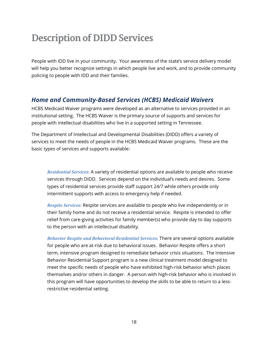# **Description of DIDD Services**

People with IDD live in your community. Your awareness of the state's service delivery model will help you better recognize settings in which people live and work, and to provide community policing to people with IDD and their families.

#### *Home and Community-Based Services (HCBS) Medicaid Waivers*

HCBS Medicaid Waiver programs were developed as an alternative to services provided in an institutional setting. The HCBS Waiver is the primary source of supports and services for people with intellectual disabilities who live in a supported setting in Tennessee.

The Department of Intellectual and Developmental Disabilities (DIDD) offers a variety of services to meet the needs of people in the HCBS Medicaid Waiver programs. These are the basic types of services and supports available:

*Residential Services:* A variety of residential options are available to people who receive services through DIDD. Services depend on the individual's needs and desires. Some types of residential services provide staff support 24/7 while others provide only intermittent supports with access to emergency help if needed.

*Respite Services:* Respite services are available to people who live independently or in their family home and do not receive a residential service. Respite is intended to offer relief from care-giving activities for family member(s) who provide day to day supports to the person with an intellectual disability.

*Behavior Respite and Behavioral Residential Services:* There are several options available for people who are at-risk due to behavioral issues. Behavior Respite offers a short term, intensive program designed to remediate behavior crisis situations. The Intensive Behavior Residential Support program is a new clinical treatment model designed to meet the specific needs of people who have exhibited high-risk behavior which places themselves and/or others in danger. A person with high-risk behavior who is involved in this program will have opportunities to develop the skills to be able to return to a lessrestrictive residential setting.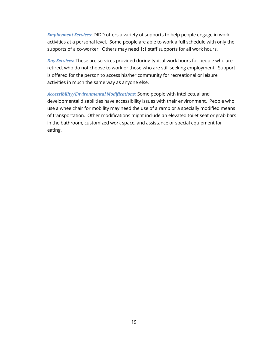*Employment Services:* DIDD offers a variety of supports to help people engage in work activities at a personal level. Some people are able to work a full schedule with only the supports of a co-worker. Others may need 1:1 staff supports for all work hours.

*Day Services:* These are services provided during typical work hours for people who are retired, who do not choose to work or those who are still seeking employment. Support is offered for the person to access his/her community for recreational or leisure activities in much the same way as anyone else.

*Accessibility/Environmental Modifications:* Some people with intellectual and developmental disabilities have accessibility issues with their environment. People who use a wheelchair for mobility may need the use of a ramp or a specially modified means of transportation. Other modifications might include an elevated toilet seat or grab bars in the bathroom, customized work space, and assistance or special equipment for eating.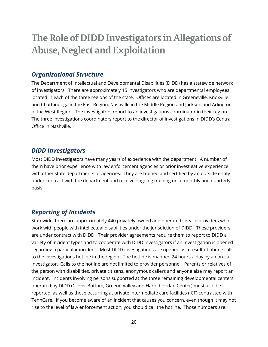# The Role of DIDD Investigators in Allegations of **Abuse, Neglect and Exploitation**

#### *Organizational Structure*

The Department of Intellectual and Developmental Disabilities (DIDD) has a statewide network of investigators. There are approximately 15 investigators who are departmental employees located in each of the three regions of the state. Offices are located in Greeneville, Knoxville and Chattanooga in the East Region, Nashville in the Middle Region and Jackson and Arlington in the West Region. The investigators report to an investigations coordinator in their region. The three investigations coordinators report to the director of investigations in DIDD's Central Office in Nashville.

#### *DIDD Investigators*

Most DIDD investigators have many years of experience with the department. A number of them have prior experience with law enforcement agencies or prior investigative experience with other state departments or agencies. They are trained and certified by an outside entity under contract with the department and receive ongoing training on a monthly and quarterly basis.

### *Reporting of Incidents*

Statewide, there are approximately 440 privately owned and operated service providers who work with people with intellectual disabilities under the jurisdiction of DIDD. These providers are under contract with DIDD. Their provider agreements require them to report to DIDD a variety of incident types and to cooperate with DIDD investigators if an investigation is opened regarding a particular incident. Most DIDD investigations are opened as a result of phone calls to the investigations hotline in the region. The hotline is manned 24 hours a day by an on-call investigator. Calls to the hotline are not limited to provider personnel. Parents or relatives of the person with disabilities, private citizens, anonymous callers and anyone else may report an incident. Incidents involving persons supported at the three remaining developmental centers operated by DIDD (Clover Bottom, Greene Valley and Harold Jordan Center) must also be reported, as well as those occurring at private intermediate care facilities (ICF) contracted with TennCare. If you become aware of an incident that causes you concern, even though it may not rise to the level of law enforcement action, you should call the hotline. Those numbers are: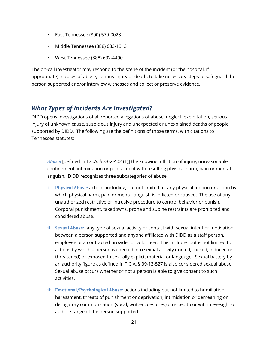- East Tennessee (800) 579-0023
- Middle Tennessee (888) 633-1313
- West Tennessee (888) 632-4490

The on-call investigator may respond to the scene of the incident (or the hospital, if appropriate) in cases of abuse, serious injury or death, to take necessary steps to safeguard the person supported and/or interview witnesses and collect or preserve evidence.

### *What Types of Incidents Are Investigated?*

DIDD opens investigations of all reported allegations of abuse, neglect, exploitation, serious injury of unknown cause, suspicious injury and unexpected or unexplained deaths of people supported by DIDD. The following are the definitions of those terms, with citations to Tennessee statutes:

*Abuse:* [defined in T.C.A. § 33-2-402 (1)] the knowing infliction of injury, unreasonable confinement, intimidation or punishment with resulting physical harm, pain or mental anguish. DIDD recognizes three subcategories of abuse:

- **i. Physical Abuse:** actions including, but not limited to, any physical motion or action by which physical harm, pain or mental anguish is inflicted or caused. The use of any unauthorized restrictive or intrusive procedure to control behavior or punish. Corporal punishment, takedowns, prone and supine restraints are prohibited and considered abuse.
- **ii. Sexual Abuse:** any type of sexual activity or contact with sexual intent or motivation between a person supported and anyone affiliated with DIDD as a staff person, employee or a contracted provider or volunteer. This includes but is not limited to actions by which a person is coerced into sexual activity (forced, tricked, induced or threatened) or exposed to sexually explicit material or language. Sexual battery by an authority figure as defined in T.C.A. § 39-13-527 is also considered sexual abuse. Sexual abuse occurs whether or not a person is able to give consent to such activities.
- **iii. Emotional/Psychological Abuse:** actions including but not limited to humiliation, harassment, threats of punishment or deprivation, intimidation or demeaning or derogatory communication (vocal, written, gestures) directed to or within eyesight or audible range of the person supported.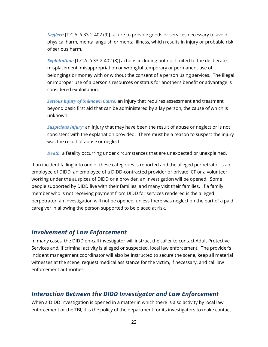*Neglect:* [T.C.A. § 33-2-402 (9)] failure to provide goods or services necessary to avoid physical harm, mental anguish or mental illness, which results in injury or probable risk of serious harm.

*Exploitation:* [T.C.A. § 33-2-402 (8)] actions including but not limited to the deliberate misplacement, misappropriation or wrongful temporary or permanent use of belongings or money with or without the consent of a person using services. The illegal or improper use of a person's resources or status for another's benefit or advantage is considered exploitation.

*Serious Injury of Unknown Cause:* an injury that requires assessment and treatment beyond basic first aid that can be administered by a lay person, the cause of which is unknown.

*Suspicious Injury:* an injury that may have been the result of abuse or neglect or is not consistent with the explanation provided. There must be a reason to suspect the injury was the result of abuse or neglect.

*Death:* a fatality occurring under circumstances that are unexpected or unexplained.

If an incident falling into one of these categories is reported and the alleged perpetrator is an employee of DIDD, an employee of a DIDD-contracted provider or private ICF or a volunteer working under the auspices of DIDD or a provider, an investigation will be opened. Some people supported by DIDD live with their families, and many visit their families. If a family member who is not receiving payment from DIDD for services rendered is the alleged perpetrator, an investigation will not be opened, unless there was neglect on the part of a paid caregiver in allowing the person supported to be placed at risk.

#### *Involvement of Law Enforcement*

In many cases, the DIDD on-call investigator will instruct the caller to contact Adult Protective Services and, if criminal activity is alleged or suspected, local law enforcement. The provider's incident management coordinator will also be instructed to secure the scene, keep all material witnesses at the scene, request medical assistance for the victim, if necessary, and call law enforcement authorities.

#### *Interaction Between the DIDD Investigator and Law Enforcement*

When a DIDD investigation is opened in a matter in which there is also activity by local law enforcement or the TBI, it is the policy of the department for its investigators to make contact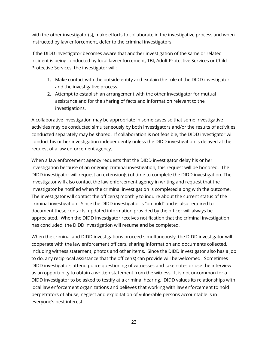with the other investigator(s), make efforts to collaborate in the investigative process and when instructed by law enforcement, defer to the criminal investigators.

If the DIDD investigator becomes aware that another investigation of the same or related incident is being conducted by local law enforcement, TBI, Adult Protective Services or Child Protective Services, the investigator will:

- 1. Make contact with the outside entity and explain the role of the DIDD investigator and the investigative process.
- 2. Attempt to establish an arrangement with the other investigator for mutual assistance and for the sharing of facts and information relevant to the investigations.

A collaborative investigation may be appropriate in some cases so that some investigative activities may be conducted simultaneously by both investigators and/or the results of activities conducted separately may be shared. If collaboration is not feasible, the DIDD investigator will conduct his or her investigation independently unless the DIDD investigation is delayed at the request of a law enforcement agency.

When a law enforcement agency requests that the DIDD investigator delay his or her investigation because of an ongoing criminal investigation, this request will be honored. The DIDD investigator will request an extension(s) of time to complete the DIDD investigation. The investigator will also contact the law enforcement agency in writing and request that the investigator be notified when the criminal investigation is completed along with the outcome. The investigator will contact the officer(s) monthly to inquire about the current status of the criminal investigation. Since the DIDD investigator is "on hold" and is also required to document these contacts, updated information provided by the officer will always be appreciated. When the DIDD investigator receives notification that the criminal investigation has concluded, the DIDD investigation will resume and be completed.

When the criminal and DIDD investigations proceed simultaneously, the DIDD investigator will cooperate with the law enforcement officers, sharing information and documents collected, including witness statement, photos and other items. Since the DIDD investigator also has a job to do, any reciprocal assistance that the officer(s) can provide will be welcomed. Sometimes DIDD investigators attend police questioning of witnesses and take notes or use the interview as an opportunity to obtain a written statement from the witness. It is not uncommon for a DIDD investigator to be asked to testify at a criminal hearing. DIDD values its relationships with local law enforcement organizations and believes that working with law enforcement to hold perpetrators of abuse, neglect and exploitation of vulnerable persons accountable is in everyone's best interest.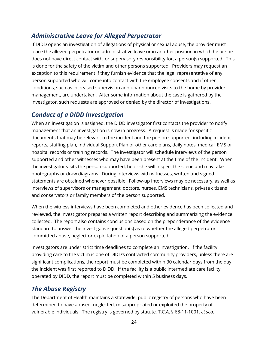# *Administrative Leave for Alleged Perpetrator*

If DIDD opens an investigation of allegations of physical or sexual abuse, the provider must place the alleged perpetrator on administrative leave or in another position in which he or she does not have direct contact with, or supervisory responsibility for, a person(s) supported. This is done for the safety of the victim and other persons supported. Providers may request an exception to this requirement if they furnish evidence that the legal representative of any person supported who will come into contact with the employee consents and if other conditions, such as increased supervision and unannounced visits to the home by provider management, are undertaken. After some information about the case is gathered by the investigator, such requests are approved or denied by the director of investigations.

## *Conduct of a DIDD Investigation*

When an investigation is assigned, the DIDD investigator first contacts the provider to notify management that an investigation is now in progress. A request is made for specific documents that may be relevant to the incident and the person supported, including incident reports, staffing plan, Individual Support Plan or other care plans, daily notes, medical, EMS or hospital records or training records. The investigator will schedule interviews of the person supported and other witnesses who may have been present at the time of the incident. When the investigator visits the person supported, he or she will inspect the scene and may take photographs or draw diagrams. During interviews with witnesses, written and signed statements are obtained whenever possible. Follow-up interviews may be necessary, as well as interviews of supervisors or management, doctors, nurses, EMS technicians, private citizens and conservators or family members of the person supported.

When the witness interviews have been completed and other evidence has been collected and reviewed, the investigator prepares a written report describing and summarizing the evidence collected. The report also contains conclusions based on the preponderance of the evidence standard to answer the investigative question(s) as to whether the alleged perpetrator committed abuse, neglect or exploitation of a person supported.

Investigators are under strict time deadlines to complete an investigation. If the facility providing care to the victim is one of DIDD's contracted community providers, unless there are significant complications, the report must be completed within 30 calendar days from the day the incident was first reported to DIDD. If the facility is a public intermediate care facility operated by DIDD, the report must be completed within 5 business days.

### *The Abuse Registry*

The Department of Health maintains a statewide, public registry of persons who have been determined to have abused, neglected, misappropriated or exploited the property of vulnerable individuals. The registry is governed by statute, T.C.A. § 68-11-1001, *et seq*.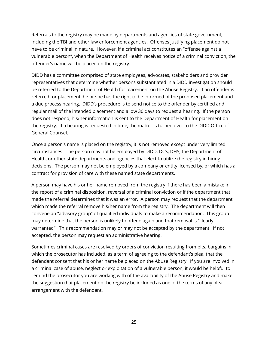Referrals to the registry may be made by departments and agencies of state government, including the TBI and other law enforcement agencies. Offenses justifying placement do not have to be criminal in nature. However, if a criminal act constitutes an "offense against a vulnerable person", when the Department of Health receives notice of a criminal conviction, the offender's name will be placed on the registry.

DIDD has a committee comprised of state employees, advocates, stakeholders and provider representatives that determine whether persons substantiated in a DIDD investigation should be referred to the Department of Health for placement on the Abuse Registry. If an offender is referred for placement, he or she has the right to be informed of the proposed placement and a due process hearing. DIDD's procedure is to send notice to the offender by certified and regular mail of the intended placement and allow 30 days to request a hearing. If the person does not respond, his/her information is sent to the Department of Health for placement on the registry. If a hearing is requested in time, the matter is turned over to the DIDD Office of General Counsel.

Once a person's name is placed on the registry, it is not removed except under very limited circumstances. The person may not be employed by DIDD, DCS, DHS, the Department of Health, or other state departments and agencies that elect to utilize the registry in hiring decisions. The person may not be employed by a company or entity licensed by, or which has a contract for provision of care with these named state departments.

A person may have his or her name removed from the registry if there has been a mistake in the report of a criminal disposition, reversal of a criminal conviction or if the department that made the referral determines that it was an error. A person may request that the department which made the referral remove his/her name from the registry. The department will then convene an "advisory group" of qualified individuals to make a recommendation. This group may determine that the person is unlikely to offend again and that removal is "clearly warranted". This recommendation may or may not be accepted by the department. If not accepted, the person may request an administrative hearing.

Sometimes criminal cases are resolved by orders of conviction resulting from plea bargains in which the prosecutor has included, as a term of agreeing to the defendant's plea, that the defendant consent that his or her name be placed on the Abuse Registry. If you are involved in a criminal case of abuse, neglect or exploitation of a vulnerable person, it would be helpful to remind the prosecutor you are working with of the availability of the Abuse Registry and make the suggestion that placement on the registry be included as one of the terms of any plea arrangement with the defendant.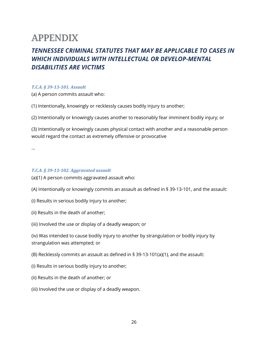# **APPENDIX**

# *TENNESSEE CRIMINAL STATUTES THAT MAY BE APPLICABLE TO CASES IN WHICH INDIVIDUALS WITH INTELLECTUAL OR DEVELOP-MENTAL DISABILITIES ARE VICTIMS*

#### *T.C.A. § 39-13-101. Assault*

(a) A person commits assault who:

(1) Intentionally, knowingly or recklessly causes bodily injury to another;

(2) Intentionally or knowingly causes another to reasonably fear imminent bodily injury; or

(3) Intentionally or knowingly causes physical contact with another and a reasonable person would regard the contact as extremely offensive or provocative

…

#### *T.C.A. § 39-13-102. Aggravated assault*

(a)(1) A person commits aggravated assault who:

(A) Intentionally or knowingly commits an assault as defined in § 39-13-101, and the assault:

- (i) Results in serious bodily injury to another;
- (ii) Results in the death of another;
- (iii) Involved the use or display of a deadly weapon; or

(iv) Was intended to cause bodily injury to another by strangulation or bodily injury by strangulation was attempted; or

(B) Recklessly commits an assault as defined in § 39-13-101(a)(1), and the assault:

- (i) Results in serious bodily injury to another;
- (ii) Results in the death of another; or
- (iii) Involved the use or display of a deadly weapon.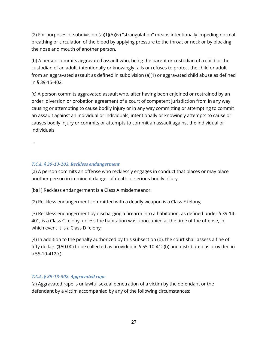(2) For purposes of subdivision (a)(1)(A)(iv) "strangulation" means intentionally impeding normal breathing or circulation of the blood by applying pressure to the throat or neck or by blocking the nose and mouth of another person.

(b) A person commits aggravated assault who, being the parent or custodian of a child or the custodian of an adult, intentionally or knowingly fails or refuses to protect the child or adult from an aggravated assault as defined in subdivision (a)(1) or aggravated child abuse as defined in § 39-15-402.

(c) A person commits aggravated assault who, after having been enjoined or restrained by an order, diversion or probation agreement of a court of competent jurisdiction from in any way causing or attempting to cause bodily injury or in any way committing or attempting to commit an assault against an individual or individuals, intentionally or knowingly attempts to cause or causes bodily injury or commits or attempts to commit an assault against the individual or individuals

…

#### *T.C.A. § 39-13-103. Reckless endangerment*

(a) A person commits an offense who recklessly engages in conduct that places or may place another person in imminent danger of death or serious bodily injury.

(b)(1) Reckless endangerment is a Class A misdemeanor;

(2) Reckless endangerment committed with a deadly weapon is a Class E felony;

(3) Reckless endangerment by discharging a firearm into a habitation, as defined under § 39-14- 401, is a Class C felony, unless the habitation was unoccupied at the time of the offense, in which event it is a Class D felony;

(4) In addition to the penalty authorized by this subsection (b), the court shall assess a fine of fifty dollars (\$50.00) to be collected as provided in § 55-10-412(b) and distributed as provided in § 55-10-412(c).

#### *T.C.A. § 39-13-502. Aggravated rape*

(a) Aggravated rape is unlawful sexual penetration of a victim by the defendant or the defendant by a victim accompanied by any of the following circumstances: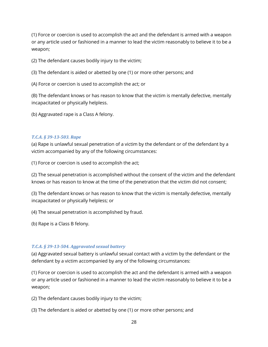(1) Force or coercion is used to accomplish the act and the defendant is armed with a weapon or any article used or fashioned in a manner to lead the victim reasonably to believe it to be a weapon;

(2) The defendant causes bodily injury to the victim;

(3) The defendant is aided or abetted by one (1) or more other persons; and

(A) Force or coercion is used to accomplish the act; or

(B) The defendant knows or has reason to know that the victim is mentally defective, mentally incapacitated or physically helpless.

(b) Aggravated rape is a Class A felony.

#### *T.C.A. § 39-13-503. Rape*

(a) Rape is unlawful sexual penetration of a victim by the defendant or of the defendant by a victim accompanied by any of the following circumstances:

(1) Force or coercion is used to accomplish the act;

(2) The sexual penetration is accomplished without the consent of the victim and the defendant knows or has reason to know at the time of the penetration that the victim did not consent;

(3) The defendant knows or has reason to know that the victim is mentally defective, mentally incapacitated or physically helpless; or

(4) The sexual penetration is accomplished by fraud.

(b) Rape is a Class B felony.

#### *T.C.A. § 39-13-504. Aggravated sexual battery*

(a) Aggravated sexual battery is unlawful sexual contact with a victim by the defendant or the defendant by a victim accompanied by any of the following circumstances:

(1) Force or coercion is used to accomplish the act and the defendant is armed with a weapon or any article used or fashioned in a manner to lead the victim reasonably to believe it to be a weapon;

(2) The defendant causes bodily injury to the victim;

(3) The defendant is aided or abetted by one (1) or more other persons; and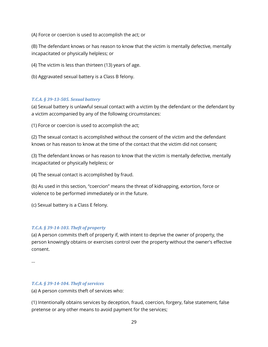(A) Force or coercion is used to accomplish the act; or

(B) The defendant knows or has reason to know that the victim is mentally defective, mentally incapacitated or physically helpless; or

(4) The victim is less than thirteen (13) years of age.

(b) Aggravated sexual battery is a Class B felony.

#### *T.C.A. § 39-13-505. Sexual battery*

(a) Sexual battery is unlawful sexual contact with a victim by the defendant or the defendant by a victim accompanied by any of the following circumstances:

(1) Force or coercion is used to accomplish the act;

(2) The sexual contact is accomplished without the consent of the victim and the defendant knows or has reason to know at the time of the contact that the victim did not consent;

(3) The defendant knows or has reason to know that the victim is mentally defective, mentally incapacitated or physically helpless; or

(4) The sexual contact is accomplished by fraud.

(b) As used in this section, "coercion" means the threat of kidnapping, extortion, force or violence to be performed immediately or in the future.

(c) Sexual battery is a Class E felony.

#### *T.C.A. § 39-14-103. Theft of property*

(a) A person commits theft of property if, with intent to deprive the owner of property, the person knowingly obtains or exercises control over the property without the owner's effective consent.

…

#### *T.C.A. § 39-14-104. Theft of services*

(a) A person commits theft of services who:

(1) Intentionally obtains services by deception, fraud, coercion, forgery, false statement, false pretense or any other means to avoid payment for the services;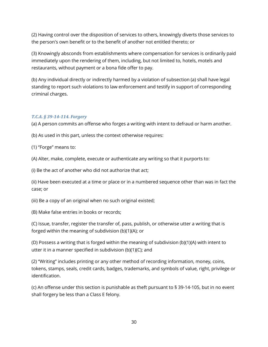(2) Having control over the disposition of services to others, knowingly diverts those services to the person's own benefit or to the benefit of another not entitled thereto; or

(3) Knowingly absconds from establishments where compensation for services is ordinarily paid immediately upon the rendering of them, including, but not limited to, hotels, motels and restaurants, without payment or a bona fide offer to pay.

(b) Any individual directly or indirectly harmed by a violation of subsection (a) shall have legal standing to report such violations to law enforcement and testify in support of corresponding criminal charges.

#### *T.C.A. § 39-14-114. Forgery*

(a) A person commits an offense who forges a writing with intent to defraud or harm another.

(b) As used in this part, unless the context otherwise requires:

(1) "Forge" means to:

(A) Alter, make, complete, execute or authenticate any writing so that it purports to:

(i) Be the act of another who did not authorize that act;

(ii) Have been executed at a time or place or in a numbered sequence other than was in fact the case; or

(iii) Be a copy of an original when no such original existed;

(B) Make false entries in books or records;

(C) Issue, transfer, register the transfer of, pass, publish, or otherwise utter a writing that is forged within the meaning of subdivision (b)(1)(A); or

(D) Possess a writing that is forged within the meaning of subdivision (b)(1)(A) with intent to utter it in a manner specified in subdivision (b)(1)(C); and

(2) "Writing" includes printing or any other method of recording information, money, coins, tokens, stamps, seals, credit cards, badges, trademarks, and symbols of value, right, privilege or identification.

(c) An offense under this section is punishable as theft pursuant to § 39-14-105, but in no event shall forgery be less than a Class E felony.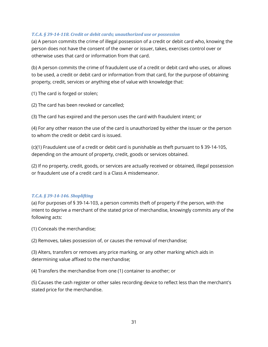#### *T.C.A. § 39-14-118. Credit or debit cards; unauthorized use or possession*

(a) A person commits the crime of illegal possession of a credit or debit card who, knowing the person does not have the consent of the owner or issuer, takes, exercises control over or otherwise uses that card or information from that card.

(b) A person commits the crime of fraudulent use of a credit or debit card who uses, or allows to be used, a credit or debit card or information from that card, for the purpose of obtaining property, credit, services or anything else of value with knowledge that:

(1) The card is forged or stolen;

(2) The card has been revoked or cancelled;

(3) The card has expired and the person uses the card with fraudulent intent; or

(4) For any other reason the use of the card is unauthorized by either the issuer or the person to whom the credit or debit card is issued.

(c)(1) Fraudulent use of a credit or debit card is punishable as theft pursuant to § 39-14-105, depending on the amount of property, credit, goods or services obtained.

(2) If no property, credit, goods, or services are actually received or obtained, illegal possession or fraudulent use of a credit card is a Class A misdemeanor.

#### *T.C.A. § 39-14-146. Shoplifting*

(a) For purposes of § 39-14-103, a person commits theft of property if the person, with the intent to deprive a merchant of the stated price of merchandise, knowingly commits any of the following acts:

(1) Conceals the merchandise;

(2) Removes, takes possession of, or causes the removal of merchandise;

(3) Alters, transfers or removes any price marking, or any other marking which aids in determining value affixed to the merchandise;

(4) Transfers the merchandise from one (1) container to another; or

(5) Causes the cash register or other sales recording device to reflect less than the merchant's stated price for the merchandise.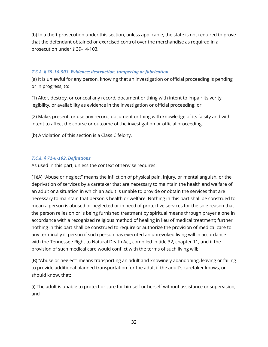(b) In a theft prosecution under this section, unless applicable, the state is not required to prove that the defendant obtained or exercised control over the merchandise as required in a prosecution under § 39-14-103.

#### *T.C.A. § 39-16-503. Evidence; destruction, tampering or fabrication*

(a) It is unlawful for any person, knowing that an investigation or official proceeding is pending or in progress, to:

(1) Alter, destroy, or conceal any record, document or thing with intent to impair its verity, legibility, or availability as evidence in the investigation or official proceeding; or

(2) Make, present, or use any record, document or thing with knowledge of its falsity and with intent to affect the course or outcome of the investigation or official proceeding.

(b) A violation of this section is a Class C felony.

#### *T.C.A. § 71-6-102. Definitions*

As used in this part, unless the context otherwise requires:

(1)(A) "Abuse or neglect" means the infliction of physical pain, injury, or mental anguish, or the deprivation of services by a caretaker that are necessary to maintain the health and welfare of an adult or a situation in which an adult is unable to provide or obtain the services that are necessary to maintain that person's health or welfare. Nothing in this part shall be construed to mean a person is abused or neglected or in need of protective services for the sole reason that the person relies on or is being furnished treatment by spiritual means through prayer alone in accordance with a recognized religious method of healing in lieu of medical treatment; further, nothing in this part shall be construed to require or authorize the provision of medical care to any terminally ill person if such person has executed an unrevoked living will in accordance with the Tennessee Right to Natural Death Act, compiled in title 32, chapter 11, and if the provision of such medical care would conflict with the terms of such living will;

(B) "Abuse or neglect" means transporting an adult and knowingly abandoning, leaving or failing to provide additional planned transportation for the adult if the adult's caretaker knows, or should know, that:

(i) The adult is unable to protect or care for himself or herself without assistance or supervision; and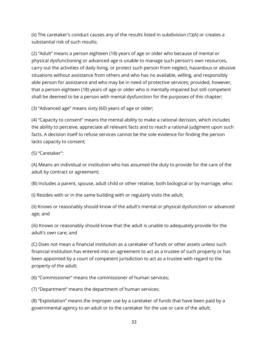(ii) The caretaker's conduct causes any of the results listed in subdivision (1)(A) or creates a substantial risk of such results;

(2) "Adult" means a person eighteen (18) years of age or older who because of mental or physical dysfunctioning or advanced age is unable to manage such person's own resources, carry out the activities of daily living, or protect such person from neglect, hazardous or abusive situations without assistance from others and who has no available, willing, and responsibly able person for assistance and who may be in need of protective services; provided, however, that a person eighteen (18) years of age or older who is mentally impaired but still competent shall be deemed to be a person with mental dysfunction for the purposes of this chapter;

(3) "Advanced age" means sixty (60) years of age or older;

(4) "Capacity to consent" means the mental ability to make a rational decision, which includes the ability to perceive, appreciate all relevant facts and to reach a rational judgment upon such facts. A decision itself to refuse services cannot be the sole evidence for finding the person lacks capacity to consent;

(5) "Caretaker":

(A) Means an individual or institution who has assumed the duty to provide for the care of the adult by contract or agreement;

(B) Includes a parent, spouse, adult child or other relative, both biological or by marriage, who:

(i) Resides with or in the same building with or regularly visits the adult;

(ii) Knows or reasonably should know of the adult's mental or physical dysfunction or advanced age; and

(iii) Knows or reasonably should know that the adult is unable to adequately provide for the adult's own care; and

(C) Does not mean a financial institution as a caretaker of funds or other assets unless such financial institution has entered into an agreement to act as a trustee of such property or has been appointed by a court of competent jurisdiction to act as a trustee with regard to the property of the adult;

(6) "Commissioner" means the commissioner of human services;

(7) "Department" means the department of human services;

(8) "Exploitation" means the improper use by a caretaker of funds that have been paid by a governmental agency to an adult or to the caretaker for the use or care of the adult;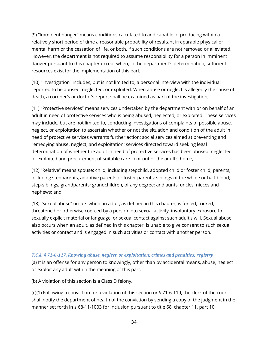(9) "Imminent danger" means conditions calculated to and capable of producing within a relatively short period of time a reasonable probability of resultant irreparable physical or mental harm or the cessation of life, or both, if such conditions are not removed or alleviated. However, the department is not required to assume responsibility for a person in imminent danger pursuant to this chapter except when, in the department's determination, sufficient resources exist for the implementation of this part;

(10) "Investigation" includes, but is not limited to, a personal interview with the individual reported to be abused, neglected, or exploited. When abuse or neglect is allegedly the cause of death, a coroner's or doctor's report shall be examined as part of the investigation;

(11) "Protective services" means services undertaken by the department with or on behalf of an adult in need of protective services who is being abused, neglected, or exploited. These services may include, but are not limited to, conducting investigations of complaints of possible abuse, neglect, or exploitation to ascertain whether or not the situation and condition of the adult in need of protective services warrants further action; social services aimed at preventing and remedying abuse, neglect, and exploitation; services directed toward seeking legal determination of whether the adult in need of protective services has been abused, neglected or exploited and procurement of suitable care in or out of the adult's home;

(12) "Relative" means spouse; child, including stepchild, adopted child or foster child; parents, including stepparents, adoptive parents or foster parents; siblings of the whole or half-blood; step-siblings; grandparents; grandchildren, of any degree; and aunts, uncles, nieces and nephews; and

(13) "Sexual abuse" occurs when an adult, as defined in this chapter, is forced, tricked, threatened or otherwise coerced by a person into sexual activity, involuntary exposure to sexually explicit material or language, or sexual contact against such adult's will. Sexual abuse also occurs when an adult, as defined in this chapter, is unable to give consent to such sexual activities or contact and is engaged in such activities or contact with another person.

#### *T.C.A. § 71-6-117. Knowing abuse, neglect, or exploitation; crimes and penalties; registry*

(a) It is an offense for any person to knowingly, other than by accidental means, abuse, neglect or exploit any adult within the meaning of this part.

(b) A violation of this section is a Class D felony.

(c)(1) Following a conviction for a violation of this section or § 71-6-119, the clerk of the court shall notify the department of health of the conviction by sending a copy of the judgment in the manner set forth in § 68-11-1003 for inclusion pursuant to title 68, chapter 11, part 10.